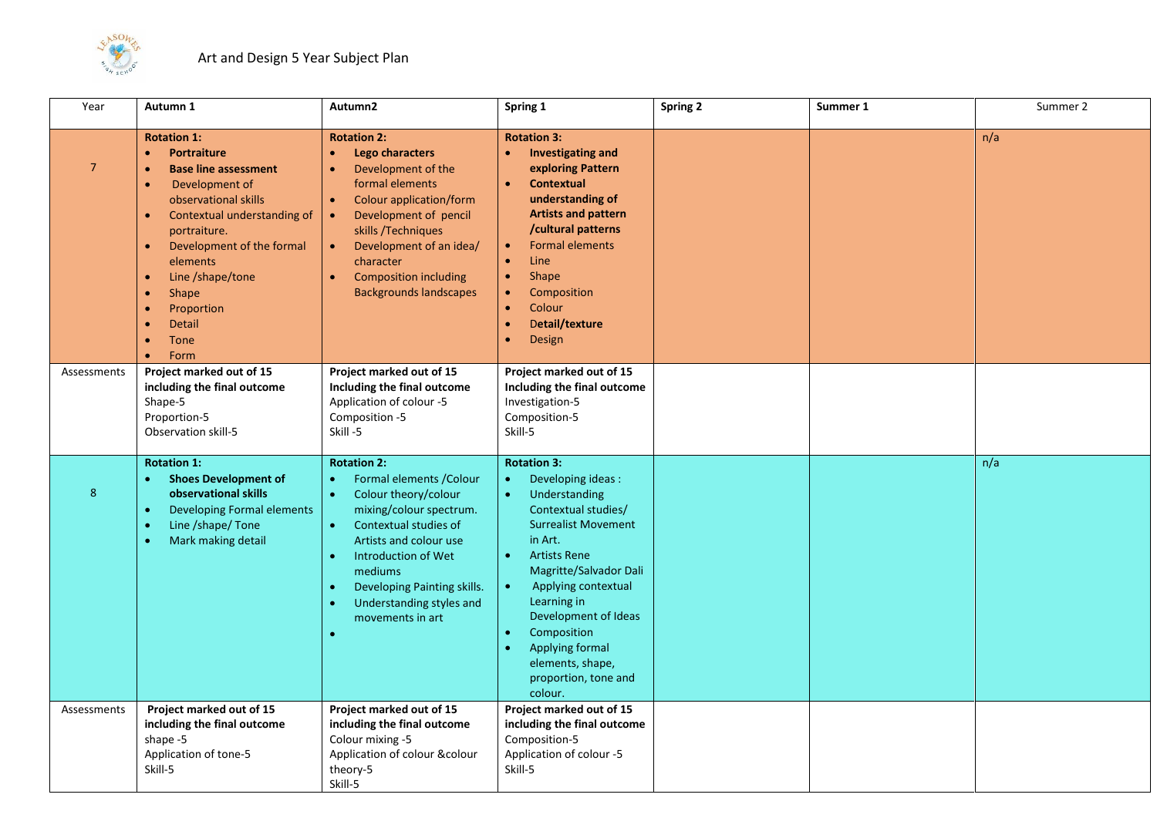

| Year            | Autumn 1                                                                                                                                                                                                                                                                                                                                                     | Autumn2                                                                                                                                                                                                                                                                                             | Spring 1                                                                                                                                                                                                                                                                                                                                                                 | <b>Spring 2</b> | Summer 1 | Summer 2 |
|-----------------|--------------------------------------------------------------------------------------------------------------------------------------------------------------------------------------------------------------------------------------------------------------------------------------------------------------------------------------------------------------|-----------------------------------------------------------------------------------------------------------------------------------------------------------------------------------------------------------------------------------------------------------------------------------------------------|--------------------------------------------------------------------------------------------------------------------------------------------------------------------------------------------------------------------------------------------------------------------------------------------------------------------------------------------------------------------------|-----------------|----------|----------|
| $7\overline{ }$ | <b>Rotation 1:</b><br><b>Portraiture</b><br>$\bullet$<br><b>Base line assessment</b><br>$\bullet$<br>Development of<br>observational skills<br>Contextual understanding of<br>portraiture.<br>Development of the formal<br>$\bullet$<br>elements<br>Line /shape/tone<br>$\bullet$<br>Shape<br>Proportion<br>Detail<br>$\bullet$<br>Tone<br>Form<br>$\bullet$ | <b>Rotation 2:</b><br>Lego characters<br>$\bullet$<br>Development of the<br>formal elements<br><b>Colour application/form</b><br>Development of pencil<br>skills / Techniques<br>Development of an idea/<br>character<br><b>Composition including</b><br>$\bullet$<br><b>Backgrounds landscapes</b> | <b>Rotation 3:</b><br><b>Investigating and</b><br>$\bullet$<br>exploring Pattern<br>Contextual<br>$\bullet$<br>understanding of<br><b>Artists and pattern</b><br>/cultural patterns<br><b>Formal elements</b><br>$\bullet$<br>Line<br>$\bullet$<br>Shape<br>$\bullet$<br>Composition<br>Colour<br>$\bullet$<br>Detail/texture<br>$\bullet$<br><b>Design</b><br>$\bullet$ |                 |          | n/a      |
| Assessments     | Project marked out of 15<br>including the final outcome<br>Shape-5<br>Proportion-5<br>Observation skill-5                                                                                                                                                                                                                                                    | Project marked out of 15<br>Including the final outcome<br>Application of colour -5<br>Composition -5<br>Skill-5                                                                                                                                                                                    | Project marked out of 15<br>Including the final outcome<br>Investigation-5<br>Composition-5<br>Skill-5                                                                                                                                                                                                                                                                   |                 |          |          |
| 8               | <b>Rotation 1:</b><br><b>Shoes Development of</b><br>observational skills<br><b>Developing Formal elements</b><br>$\bullet$<br>Line /shape/ Tone<br>Mark making detail<br>$\bullet$                                                                                                                                                                          | <b>Rotation 2:</b><br>Formal elements / Colour<br>$\bullet$<br>Colour theory/colour<br>$\bullet$<br>mixing/colour spectrum.<br>Contextual studies of<br>$\bullet$<br>Artists and colour use<br>Introduction of Wet<br>$\bullet$                                                                     | <b>Rotation 3:</b><br>Developing ideas :<br>$\bullet$<br>Understanding<br>$\bullet$<br>Contextual studies/<br><b>Surrealist Movement</b><br>in Art.<br><b>Artists Rene</b><br>$\bullet$                                                                                                                                                                                  |                 |          | n/a      |
|                 |                                                                                                                                                                                                                                                                                                                                                              | mediums<br>Developing Painting skills.<br>Understanding styles and<br>$\bullet$<br>movements in art                                                                                                                                                                                                 | Magritte/Salvador Dali<br>Applying contextual<br>Learning in<br>Development of Ideas<br>Composition<br>$\bullet$<br>Applying formal<br>$\bullet$<br>elements, shape,<br>proportion, tone and<br>colour.                                                                                                                                                                  |                 |          |          |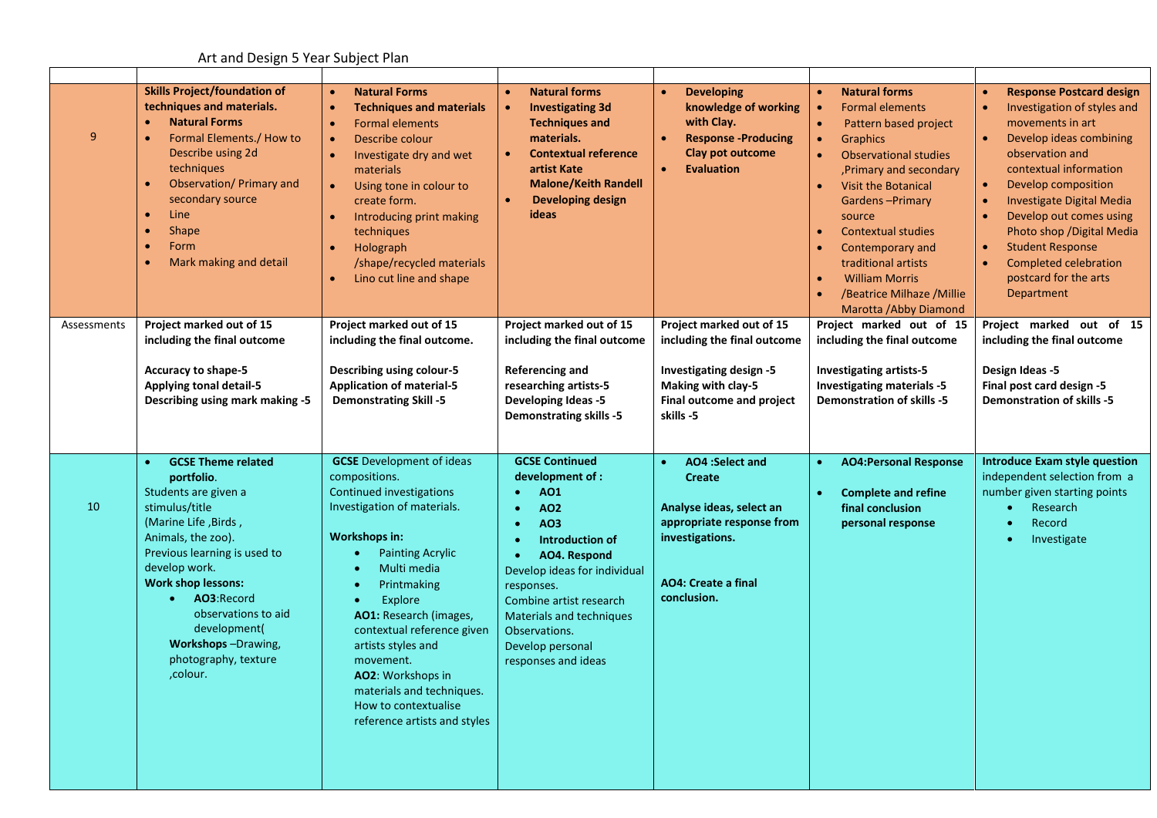## Art and Design 5 Year Subject Plan

| $\overline{9}$ | <b>Skills Project/foundation of</b><br>techniques and materials.<br><b>Natural Forms</b><br>$\bullet$<br>Formal Elements./ How to<br>$\bullet$<br>Describe using 2d<br>techniques<br>Observation/ Primary and<br>secondary source<br>Line<br>$\bullet$<br>Shape<br>$\bullet$<br>Form<br>$\bullet$<br>Mark making and detail<br>$\bullet$                      | <b>Natural Forms</b><br><b>Techniques and materials</b><br><b>Formal elements</b><br>Describe colour<br>Investigate dry and wet<br>materials<br>Using tone in colour to<br>create form.<br>Introducing print making<br>techniques<br>Holograph<br>$\bullet$<br>/shape/recycled materials<br>Lino cut line and shape                                                                                                                                               | <b>Natural forms</b><br>$\bullet$<br><b>Investigating 3d</b><br><b>Techniques and</b><br>materials.<br><b>Contextual reference</b><br>$\bullet$<br>artist Kate<br><b>Malone/Keith Randell</b><br><b>Developing design</b><br>ideas                                                                                | <b>Developing</b><br>$\bullet$<br>knowledge of working<br>with Clay.<br><b>Response -Producing</b><br>$\bullet$<br><b>Clay pot outcome</b><br><b>Evaluation</b><br>$\bullet$  | <b>Natural forms</b><br>$\bullet$<br><b>Formal elements</b><br>Pattern based project<br>$\bullet$<br><b>Graphics</b><br>$\bullet$<br><b>Observational studies</b><br>$\bullet$<br>, Primary and secondary<br><b>Visit the Botanical</b><br>$\bullet$<br><b>Gardens-Primary</b><br>source<br><b>Contextual studies</b><br>$\bullet$<br>Contemporary and<br>$\bullet$<br>traditional artists<br><b>William Morris</b><br>$\bullet$<br>/Beatrice Milhaze / Millie<br>$\bullet$<br>Marotta / Abby Diamond | <b>Response Postcard design</b><br>Investigation of styles and<br>$\bullet$<br>movements in art<br>Develop ideas combining<br>observation and<br>contextual information<br>Develop composition<br>$\bullet$<br>Investigate Digital Media<br>$\bullet$<br>Develop out comes using<br>Photo shop / Digital Media<br><b>Student Response</b><br><b>Completed celebration</b><br>postcard for the arts<br>Department |
|----------------|---------------------------------------------------------------------------------------------------------------------------------------------------------------------------------------------------------------------------------------------------------------------------------------------------------------------------------------------------------------|-------------------------------------------------------------------------------------------------------------------------------------------------------------------------------------------------------------------------------------------------------------------------------------------------------------------------------------------------------------------------------------------------------------------------------------------------------------------|-------------------------------------------------------------------------------------------------------------------------------------------------------------------------------------------------------------------------------------------------------------------------------------------------------------------|-------------------------------------------------------------------------------------------------------------------------------------------------------------------------------|-------------------------------------------------------------------------------------------------------------------------------------------------------------------------------------------------------------------------------------------------------------------------------------------------------------------------------------------------------------------------------------------------------------------------------------------------------------------------------------------------------|------------------------------------------------------------------------------------------------------------------------------------------------------------------------------------------------------------------------------------------------------------------------------------------------------------------------------------------------------------------------------------------------------------------|
| Assessments    | Project marked out of 15<br>including the final outcome<br><b>Accuracy to shape-5</b><br><b>Applying tonal detail-5</b><br>Describing using mark making -5                                                                                                                                                                                                    | Project marked out of 15<br>including the final outcome.<br><b>Describing using colour-5</b><br><b>Application of material-5</b><br><b>Demonstrating Skill -5</b>                                                                                                                                                                                                                                                                                                 | Project marked out of 15<br>including the final outcome<br>Referencing and<br>researching artists-5<br><b>Developing Ideas -5</b><br><b>Demonstrating skills -5</b>                                                                                                                                               | Project marked out of 15<br>including the final outcome<br>Investigating design -5<br>Making with clay-5<br>Final outcome and project<br>skills -5                            | Project marked out of 15<br>including the final outcome<br><b>Investigating artists-5</b><br><b>Investigating materials -5</b><br><b>Demonstration of skills -5</b>                                                                                                                                                                                                                                                                                                                                   | Project marked out of 15<br>including the final outcome<br>Design Ideas -5<br>Final post card design -5<br><b>Demonstration of skills -5</b>                                                                                                                                                                                                                                                                     |
| 10             | <b>GCSE Theme related</b><br>$\bullet$<br>portfolio.<br>Students are given a<br>stimulus/title<br>(Marine Life, Birds,<br>Animals, the zoo).<br>Previous learning is used to<br>develop work.<br><b>Work shop lessons:</b><br>AO3:Record<br>$\bullet$<br>observations to aid<br>development(<br><b>Workshops-Drawing,</b><br>photography, texture<br>,colour. | <b>GCSE</b> Development of ideas<br>compositions.<br>Continued investigations<br>Investigation of materials.<br><b>Workshops in:</b><br><b>Painting Acrylic</b><br>$\bullet$<br>Multi media<br>$\bullet$<br>Printmaking<br>$\bullet$<br>Explore<br>$\bullet$<br>AO1: Research (images,<br>contextual reference given<br>artists styles and<br>movement.<br>AO2: Workshops in<br>materials and techniques.<br>How to contextualise<br>reference artists and styles | <b>GCSE Continued</b><br>development of :<br>A01<br>$\bullet$<br><b>AO2</b><br>$\bullet$<br><b>AO3</b><br><b>Introduction of</b><br>AO4. Respond<br>Develop ideas for individual<br>responses.<br>Combine artist research<br>Materials and techniques<br>Observations.<br>Develop personal<br>responses and ideas | <b>AO4</b> :Select and<br>$\bullet$<br><b>Create</b><br>Analyse ideas, select an<br>appropriate response from<br>investigations.<br><b>AO4: Create a final</b><br>conclusion. | <b>AO4: Personal Response</b><br>$\bullet$<br><b>Complete and refine</b><br>$\bullet$<br>final conclusion<br>personal response                                                                                                                                                                                                                                                                                                                                                                        | <b>Introduce Exam style question</b><br>independent selection from a<br>number given starting points<br>Research<br>Record<br>Investigate                                                                                                                                                                                                                                                                        |